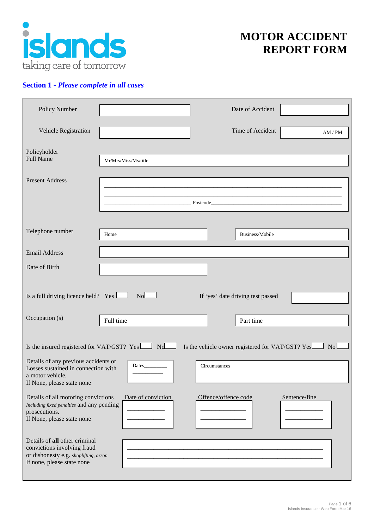

# **MOTOR ACCIDENT REPORT FORM**

## **Section 1 -** *Please complete in all cases*

| Policy Number                                                                                                                                            |                                                                                                                |                      | Date of Accident |               |
|----------------------------------------------------------------------------------------------------------------------------------------------------------|----------------------------------------------------------------------------------------------------------------|----------------------|------------------|---------------|
| Vehicle Registration                                                                                                                                     |                                                                                                                |                      | Time of Accident | AM / PM       |
| Policyholder<br><b>Full Name</b>                                                                                                                         | Mr/Mrs/Miss/Ms/title                                                                                           |                      |                  |               |
| <b>Present Address</b>                                                                                                                                   |                                                                                                                |                      |                  |               |
|                                                                                                                                                          | Postcode Postcode Postcode Postcode Postcode Postcode Postcode Postcode Postcode Postcode Postcode Postcode Po |                      |                  |               |
|                                                                                                                                                          |                                                                                                                |                      |                  |               |
| Telephone number                                                                                                                                         | Home                                                                                                           |                      | Business/Mobile  |               |
| <b>Email Address</b>                                                                                                                                     |                                                                                                                |                      |                  |               |
| Date of Birth                                                                                                                                            |                                                                                                                |                      |                  |               |
| Is a full driving licence held? Yes $\Box$<br>No<br>If 'yes' date driving test passed                                                                    |                                                                                                                |                      |                  |               |
| Occupation (s)                                                                                                                                           | Full time                                                                                                      |                      | Part time        |               |
| Is the insured registered for VAT/GST? $Yes \t M$ No<br>Is the vehicle owner registered for VAT/GST? Yes<br>No L<br>Details of any previous accidents or |                                                                                                                |                      |                  |               |
| Losses sustained in connection with<br>a motor vehicle.<br>If None, please state none                                                                    |                                                                                                                | Circumstances        |                  |               |
| Details of all motoring convictions<br>Including fixed penalties and any pending<br>prosecutions.<br>If None, please state none                          | Date of conviction                                                                                             | Offence/offence code |                  | Sentence/fine |
| Details of all other criminal<br>convictions involving fraud<br>or dishonesty e.g. shoplifting, arson<br>If none, please state none                      |                                                                                                                |                      |                  |               |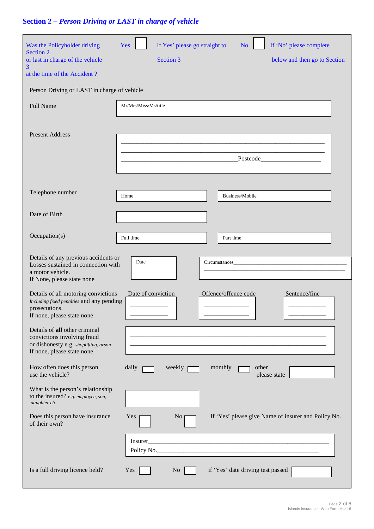# **Section 2 –** *Person Driving or LAST in charge of vehicle*

| Was the Policyholder driving<br>Section 2<br>or last in charge of the vehicle<br>3<br>at the time of the Accident?<br>Person Driving or LAST in charge of vehicle<br><b>Full Name</b><br><b>Present Address</b> | If Yes' please go straight to<br>Yes<br>N <sub>o</sub><br>Section 3<br>Mr/Mrs/Miss/Ms/title | If 'No' please complete<br>below and then go to Section |
|-----------------------------------------------------------------------------------------------------------------------------------------------------------------------------------------------------------------|---------------------------------------------------------------------------------------------|---------------------------------------------------------|
|                                                                                                                                                                                                                 | Postcode                                                                                    |                                                         |
| Telephone number                                                                                                                                                                                                | Business/Mobile<br>Home                                                                     |                                                         |
| Date of Birth                                                                                                                                                                                                   |                                                                                             |                                                         |
| Occupation(s)                                                                                                                                                                                                   | Full time<br>Part time                                                                      |                                                         |
| Details of any previous accidents or<br>Losses sustained in connection with<br>a motor vehicle.<br>If None, please state none                                                                                   | Circumstances                                                                               |                                                         |
| Details of all motoring convictions<br>Including fixed penalties and any pending<br>prosecutions.<br>If none, please state none                                                                                 | Offence/offence code<br>Date of conviction                                                  | Sentence/fine                                           |
| Details of all other criminal<br>convictions involving fraud<br>or dishonesty e.g. shoplifting, arson<br>If none, please state none                                                                             |                                                                                             |                                                         |
| How often does this person<br>use the vehicle?                                                                                                                                                                  | daily<br>monthly<br>weekly<br>other                                                         | please state                                            |
| What is the person's relationship<br>to the insured? e.g. employee, son,<br>daughter etc                                                                                                                        |                                                                                             |                                                         |
| Does this person have insurance<br>of their own?                                                                                                                                                                | Yes<br>N <sub>o</sub>                                                                       | If 'Yes' please give Name of insurer and Policy No.     |
|                                                                                                                                                                                                                 | Insurer<br>Policy No.                                                                       |                                                         |
| Is a full driving licence held?                                                                                                                                                                                 | if 'Yes' date driving test passed<br>Yes<br>N <sub>o</sub>                                  |                                                         |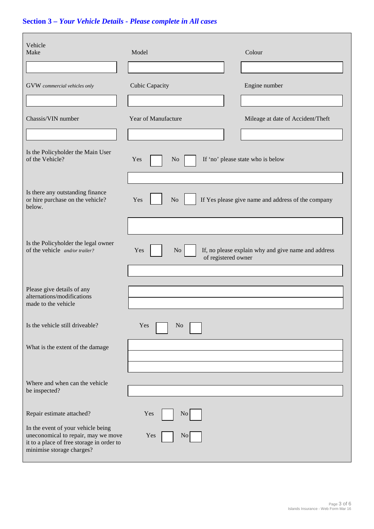# **Section 3 –** *Your Vehicle Details - Please complete in All cases*

| Vehicle<br>Make                                                                                                                                     | Model                            | Colour                                              |
|-----------------------------------------------------------------------------------------------------------------------------------------------------|----------------------------------|-----------------------------------------------------|
| GVW commercial vehicles only                                                                                                                        | <b>Cubic Capacity</b>            | Engine number                                       |
| Chassis/VIN number                                                                                                                                  | Year of Manufacture              | Mileage at date of Accident/Theft                   |
| Is the Policyholder the Main User<br>of the Vehicle?                                                                                                | Yes<br>N <sub>o</sub>            | If 'no' please state who is below                   |
| Is there any outstanding finance<br>or hire purchase on the vehicle?<br>below.                                                                      | No<br>Yes                        | If Yes please give name and address of the company  |
| Is the Policyholder the legal owner<br>of the vehicle and/or trailer?                                                                               | No<br>Yes<br>of registered owner | If, no please explain why and give name and address |
| Please give details of any<br>alternations/modifications<br>made to the vehicle                                                                     |                                  |                                                     |
| Is the vehicle still driveable?                                                                                                                     | Yes<br>N <sub>o</sub>            |                                                     |
| What is the extent of the damage                                                                                                                    |                                  |                                                     |
| Where and when can the vehicle<br>be inspected?                                                                                                     |                                  |                                                     |
| Repair estimate attached?                                                                                                                           | Yes<br>N <sub>0</sub>            |                                                     |
| In the event of your vehicle being<br>uneconomical to repair, may we move<br>it to a place of free storage in order to<br>minimise storage charges? | Yes<br>$\overline{N}$ o          |                                                     |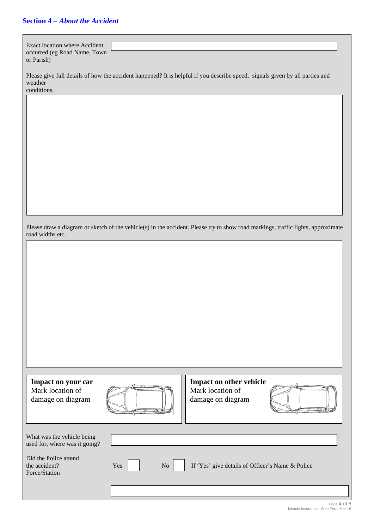## **Section 4** – *About the Accident*

| Exact location where Accident<br>occurred (eg Road Name, Town<br>or Parish)                                                                            |           |                                                                                                                                  |  |
|--------------------------------------------------------------------------------------------------------------------------------------------------------|-----------|----------------------------------------------------------------------------------------------------------------------------------|--|
| Please give full details of how the accident happened? It is helpful if you describe speed, signals given by all parties and<br>weather<br>conditions. |           |                                                                                                                                  |  |
|                                                                                                                                                        |           |                                                                                                                                  |  |
|                                                                                                                                                        |           |                                                                                                                                  |  |
|                                                                                                                                                        |           |                                                                                                                                  |  |
|                                                                                                                                                        |           |                                                                                                                                  |  |
|                                                                                                                                                        |           |                                                                                                                                  |  |
| road widths etc.                                                                                                                                       |           | Please draw a diagram or sketch of the vehicle(s) in the accident. Please try to show road markings, traffic lights, approximate |  |
|                                                                                                                                                        |           |                                                                                                                                  |  |
|                                                                                                                                                        |           |                                                                                                                                  |  |
|                                                                                                                                                        |           |                                                                                                                                  |  |
|                                                                                                                                                        |           |                                                                                                                                  |  |
|                                                                                                                                                        |           |                                                                                                                                  |  |
| Impact on your car                                                                                                                                     |           | Impact on other vehicle                                                                                                          |  |
| Mark location of<br>damage on diagram                                                                                                                  |           | Mark location of<br>damage on diagram                                                                                            |  |
| What was the vehicle being<br>used for, where was it going?                                                                                            |           |                                                                                                                                  |  |
| Did the Police attend<br>the accident?<br>Force/Station                                                                                                | Yes<br>No | If 'Yes' give details of Officer's Name & Police                                                                                 |  |
|                                                                                                                                                        |           |                                                                                                                                  |  |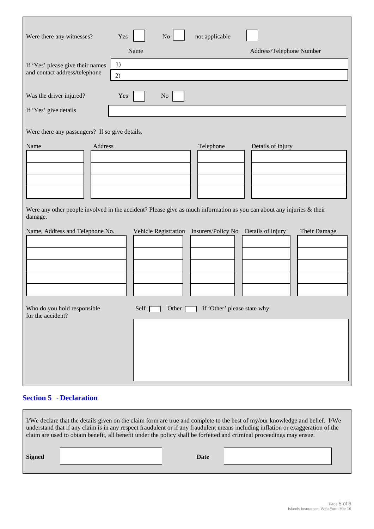| Were there any witnesses?                                         | No<br>not applicable<br>Yes                                                                                                        |                          |
|-------------------------------------------------------------------|------------------------------------------------------------------------------------------------------------------------------------|--------------------------|
|                                                                   | Name                                                                                                                               | Address/Telephone Number |
| If 'Yes' please give their names<br>and contact address/telephone | 1)<br>2)                                                                                                                           |                          |
| Was the driver injured?                                           | Yes<br>No                                                                                                                          |                          |
| If 'Yes' give details                                             |                                                                                                                                    |                          |
| Were there any passengers? If so give details.                    |                                                                                                                                    |                          |
| Name<br>Address<br>damage.                                        | Telephone<br>Were any other people involved in the accident? Please give as much information as you can about any injuries & their | Details of injury        |
| Name, Address and Telephone No.<br>Who do you hold responsible    | Vehicle Registration Insurers/Policy No Details of injury<br>If 'Other' please state why<br>Self<br>Other                          | Their Damage             |
| for the accident?                                                 |                                                                                                                                    |                          |

### **Section 5 - Declaration**

r.

|               | claim are used to obtain benefit, all benefit under the policy shall be forfeited and criminal proceedings may ensue. |      | I/We declare that the details given on the claim form are true and complete to the best of my/our knowledge and belief. I/We<br>understand that if any claim is in any respect fraudulent or if any fraudulent means including inflation or exaggeration of the |
|---------------|-----------------------------------------------------------------------------------------------------------------------|------|-----------------------------------------------------------------------------------------------------------------------------------------------------------------------------------------------------------------------------------------------------------------|
| <b>Signed</b> |                                                                                                                       | Date |                                                                                                                                                                                                                                                                 |